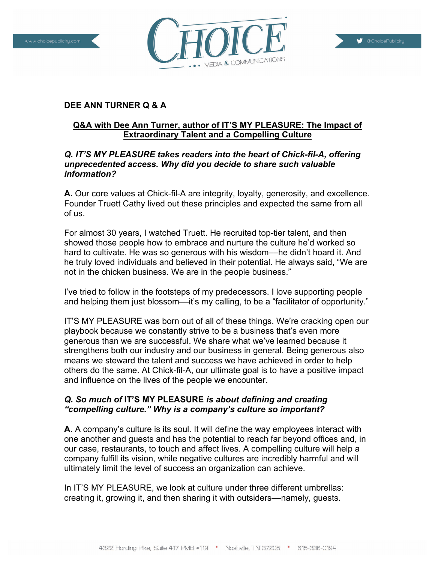



# **Q&A with Dee Ann Turner, author of IT'S MY PLEASURE: The Impact of Extraordinary Talent and a Compelling Culture**

VEDIA & COMMUNICATIONS

#### *Q. IT'S MY PLEASURE takes readers into the heart of Chick-fil-A, offering unprecedented access. Why did you decide to share such valuable information?*

**A.** Our core values at Chick-fil-A are integrity, loyalty, generosity, and excellence. Founder Truett Cathy lived out these principles and expected the same from all of us.

For almost 30 years, I watched Truett. He recruited top-tier talent, and then showed those people how to embrace and nurture the culture he'd worked so hard to cultivate. He was so generous with his wisdom––he didn't hoard it. And he truly loved individuals and believed in their potential. He always said, "We are not in the chicken business. We are in the people business."

I've tried to follow in the footsteps of my predecessors. I love supporting people and helping them just blossom—it's my calling, to be a "facilitator of opportunity."

IT'S MY PLEASURE was born out of all of these things. We're cracking open our playbook because we constantly strive to be a business that's even more generous than we are successful. We share what we've learned because it strengthens both our industry and our business in general. Being generous also means we steward the talent and success we have achieved in order to help others do the same. At Chick-fil-A, our ultimate goal is to have a positive impact and influence on the lives of the people we encounter.

# *Q. So much of* **IT'S MY PLEASURE** *is about defining and creating "compelling culture." Why is a company's culture so important?*

**A.** A company's culture is its soul. It will define the way employees interact with one another and guests and has the potential to reach far beyond offices and, in our case, restaurants, to touch and affect lives. A compelling culture will help a company fulfill its vision, while negative cultures are incredibly harmful and will ultimately limit the level of success an organization can achieve.

In IT'S MY PLEASURE, we look at culture under three different umbrellas: creating it, growing it, and then sharing it with outsiders––namely, guests.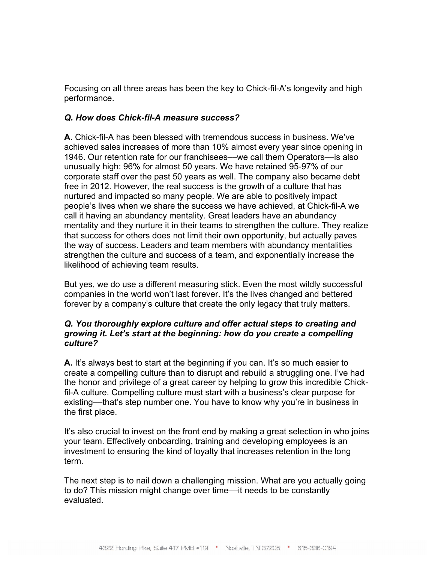Focusing on all three areas has been the key to Chick-fil-A's longevity and high performance.

#### *Q. How does Chick-fil-A measure success?*

**A.** Chick-fil-A has been blessed with tremendous success in business. We've achieved sales increases of more than 10% almost every year since opening in 1946. Our retention rate for our franchisees—we call them Operators—is also unusually high: 96% for almost 50 years. We have retained 95-97% of our corporate staff over the past 50 years as well. The company also became debt free in 2012. However, the real success is the growth of a culture that has nurtured and impacted so many people. We are able to positively impact people's lives when we share the success we have achieved, at Chick-fil-A we call it having an abundancy mentality. Great leaders have an abundancy mentality and they nurture it in their teams to strengthen the culture. They realize that success for others does not limit their own opportunity, but actually paves the way of success. Leaders and team members with abundancy mentalities strengthen the culture and success of a team, and exponentially increase the likelihood of achieving team results.

But yes, we do use a different measuring stick. Even the most wildly successful companies in the world won't last forever. It's the lives changed and bettered forever by a company's culture that create the only legacy that truly matters.

#### *Q. You thoroughly explore culture and offer actual steps to creating and growing it. Let's start at the beginning: how do you create a compelling culture?*

**A.** It's always best to start at the beginning if you can. It's so much easier to create a compelling culture than to disrupt and rebuild a struggling one. I've had the honor and privilege of a great career by helping to grow this incredible Chickfil-A culture. Compelling culture must start with a business's clear purpose for existing––that's step number one. You have to know why you're in business in the first place.

It's also crucial to invest on the front end by making a great selection in who joins your team. Effectively onboarding, training and developing employees is an investment to ensuring the kind of loyalty that increases retention in the long term.

The next step is to nail down a challenging mission. What are you actually going to do? This mission might change over time––it needs to be constantly evaluated.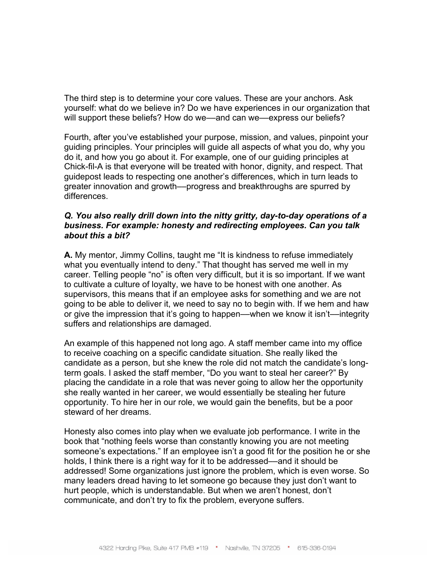The third step is to determine your core values. These are your anchors. Ask yourself: what do we believe in? Do we have experiences in our organization that will support these beliefs? How do we—and can we—express our beliefs?

Fourth, after you've established your purpose, mission, and values, pinpoint your guiding principles. Your principles will guide all aspects of what you do, why you do it, and how you go about it. For example, one of our guiding principles at Chick-fil-A is that everyone will be treated with honor, dignity, and respect. That guidepost leads to respecting one another's differences, which in turn leads to greater innovation and growth––progress and breakthroughs are spurred by differences.

## *Q. You also really drill down into the nitty gritty, day-to-day operations of a business. For example: honesty and redirecting employees. Can you talk about this a bit?*

**A.** My mentor, Jimmy Collins, taught me "It is kindness to refuse immediately what you eventually intend to deny." That thought has served me well in my career. Telling people "no" is often very difficult, but it is so important. If we want to cultivate a culture of loyalty, we have to be honest with one another. As supervisors, this means that if an employee asks for something and we are not going to be able to deliver it, we need to say no to begin with. If we hem and haw or give the impression that it's going to happen––when we know it isn't––integrity suffers and relationships are damaged.

An example of this happened not long ago. A staff member came into my office to receive coaching on a specific candidate situation. She really liked the candidate as a person, but she knew the role did not match the candidate's longterm goals. I asked the staff member, "Do you want to steal her career?" By placing the candidate in a role that was never going to allow her the opportunity she really wanted in her career, we would essentially be stealing her future opportunity. To hire her in our role, we would gain the benefits, but be a poor steward of her dreams.

Honesty also comes into play when we evaluate job performance. I write in the book that "nothing feels worse than constantly knowing you are not meeting someone's expectations." If an employee isn't a good fit for the position he or she holds, I think there is a right way for it to be addressed—and it should be addressed! Some organizations just ignore the problem, which is even worse. So many leaders dread having to let someone go because they just don't want to hurt people, which is understandable. But when we aren't honest, don't communicate, and don't try to fix the problem, everyone suffers.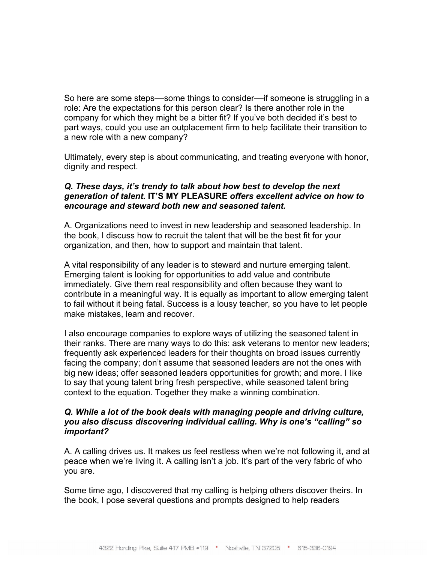So here are some steps—some things to consider—if someone is struggling in a role: Are the expectations for this person clear? Is there another role in the company for which they might be a bitter fit? If you've both decided it's best to part ways, could you use an outplacement firm to help facilitate their transition to a new role with a new company?

Ultimately, every step is about communicating, and treating everyone with honor, dignity and respect.

## *Q. These days, it's trendy to talk about how best to develop the next generation of talent.* **IT'S MY PLEASURE** *offers excellent advice on how to encourage and steward both new and seasoned talent.*

A. Organizations need to invest in new leadership and seasoned leadership. In the book, I discuss how to recruit the talent that will be the best fit for your organization, and then, how to support and maintain that talent.

A vital responsibility of any leader is to steward and nurture emerging talent. Emerging talent is looking for opportunities to add value and contribute immediately. Give them real responsibility and often because they want to contribute in a meaningful way. It is equally as important to allow emerging talent to fail without it being fatal. Success is a lousy teacher, so you have to let people make mistakes, learn and recover.

I also encourage companies to explore ways of utilizing the seasoned talent in their ranks. There are many ways to do this: ask veterans to mentor new leaders; frequently ask experienced leaders for their thoughts on broad issues currently facing the company; don't assume that seasoned leaders are not the ones with big new ideas; offer seasoned leaders opportunities for growth; and more. I like to say that young talent bring fresh perspective, while seasoned talent bring context to the equation. Together they make a winning combination.

#### *Q. While a lot of the book deals with managing people and driving culture, you also discuss discovering individual calling. Why is one's "calling" so important?*

A. A calling drives us. It makes us feel restless when we're not following it, and at peace when we're living it. A calling isn't a job. It's part of the very fabric of who you are.

Some time ago, I discovered that my calling is helping others discover theirs. In the book, I pose several questions and prompts designed to help readers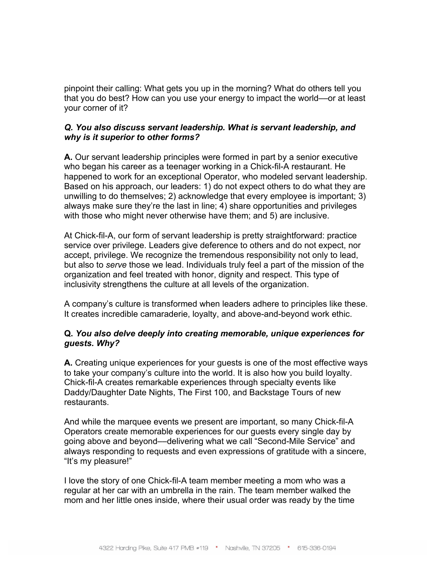pinpoint their calling: What gets you up in the morning? What do others tell you that you do best? How can you use your energy to impact the world––or at least your corner of it?

## *Q. You also discuss servant leadership. What is servant leadership, and why is it superior to other forms?*

**A.** Our servant leadership principles were formed in part by a senior executive who began his career as a teenager working in a Chick-fil-A restaurant. He happened to work for an exceptional Operator, who modeled servant leadership. Based on his approach, our leaders: 1) do not expect others to do what they are unwilling to do themselves; 2) acknowledge that every employee is important; 3) always make sure they're the last in line; 4) share opportunities and privileges with those who might never otherwise have them; and 5) are inclusive.

At Chick-fil-A, our form of servant leadership is pretty straightforward: practice service over privilege. Leaders give deference to others and do not expect, nor accept, privilege. We recognize the tremendous responsibility not only to lead, but also to *serve* those we lead. Individuals truly feel a part of the mission of the organization and feel treated with honor, dignity and respect. This type of inclusivity strengthens the culture at all levels of the organization.

A company's culture is transformed when leaders adhere to principles like these. It creates incredible camaraderie, loyalty, and above-and-beyond work ethic.

## **Q.** *You also delve deeply into creating memorable, unique experiences for guests. Why?*

**A.** Creating unique experiences for your guests is one of the most effective ways to take your company's culture into the world. It is also how you build loyalty. Chick-fil-A creates remarkable experiences through specialty events like Daddy/Daughter Date Nights, The First 100, and Backstage Tours of new restaurants.

And while the marquee events we present are important, so many Chick-fil-A Operators create memorable experiences for our guests every single day by going above and beyond––delivering what we call "Second-Mile Service" and always responding to requests and even expressions of gratitude with a sincere, "It's my pleasure!"

I love the story of one Chick-fil-A team member meeting a mom who was a regular at her car with an umbrella in the rain. The team member walked the mom and her little ones inside, where their usual order was ready by the time